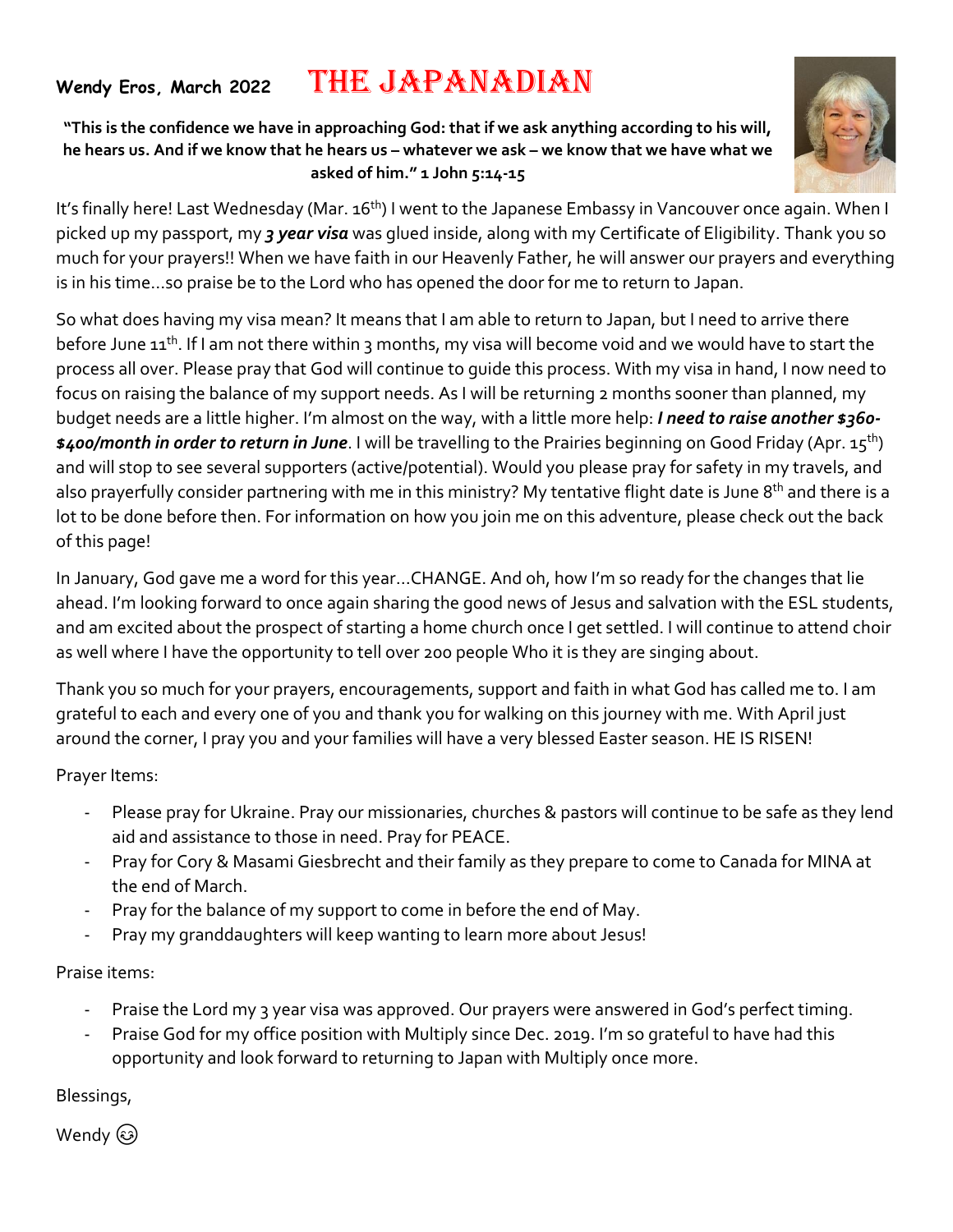## **Wendy Eros, March <sup>2022</sup>**THE JAPANADIAN

**"This is the confidence we have in approaching God: that if we ask anything according to his will, he hears us. And if we know that he hears us – whatever we ask – we know that we have what we asked of him." 1 John 5:14-15**



It's finally here! Last Wednesday (Mar. 16<sup>th</sup>) I went to the Japanese Embassy in Vancouver once again. When I picked up my passport, my *3 year visa* was glued inside, along with my Certificate of Eligibility. Thank you so much for your prayers!! When we have faith in our Heavenly Father, he will answer our prayers and everything is in his time…so praise be to the Lord who has opened the door for me to return to Japan.

So what does having my visa mean? It means that I am able to return to Japan, but I need to arrive there before June 11<sup>th</sup>. If I am not there within 3 months, my visa will become void and we would have to start the process all over. Please pray that God will continue to guide this process. With my visa in hand, I now need to focus on raising the balance of my support needs. As I will be returning 2 months sooner than planned, my budget needs are a little higher. I'm almost on the way, with a little more help: *I need to raise another \$360- \$400/month in order to return in June*. I will be travelling to the Prairies beginning on Good Friday (Apr. 15th) and will stop to see several supporters (active/potential). Would you please pray for safety in my travels, and also prayerfully consider partnering with me in this ministry? My tentative flight date is June 8<sup>th</sup> and there is a lot to be done before then. For information on how you join me on this adventure, please check out the back of this page!

In January, God gave me a word for this year…CHANGE. And oh, how I'm so ready for the changes that lie ahead. I'm looking forward to once again sharing the good news of Jesus and salvation with the ESL students, and am excited about the prospect of starting a home church once I get settled. I will continue to attend choir as well where I have the opportunity to tell over 200 people Who it is they are singing about.

Thank you so much for your prayers, encouragements, support and faith in what God has called me to. I am grateful to each and every one of you and thank you for walking on this journey with me. With April just around the corner, I pray you and your families will have a very blessed Easter season. HE IS RISEN!

Prayer Items:

- Please pray for Ukraine. Pray our missionaries, churches & pastors will continue to be safe as they lend aid and assistance to those in need. Pray for PEACE.
- Pray for Cory & Masami Giesbrecht and their family as they prepare to come to Canada for MINA at the end of March.
- Pray for the balance of my support to come in before the end of May.
- Pray my granddaughters will keep wanting to learn more about Jesus!

Praise items:

- Praise the Lord my 3 year visa was approved. Our prayers were answered in God's perfect timing.
- Praise God for my office position with Multiply since Dec. 2019. I'm so grateful to have had this opportunity and look forward to returning to Japan with Multiply once more.

Blessings,

Wendy  $\circledS$